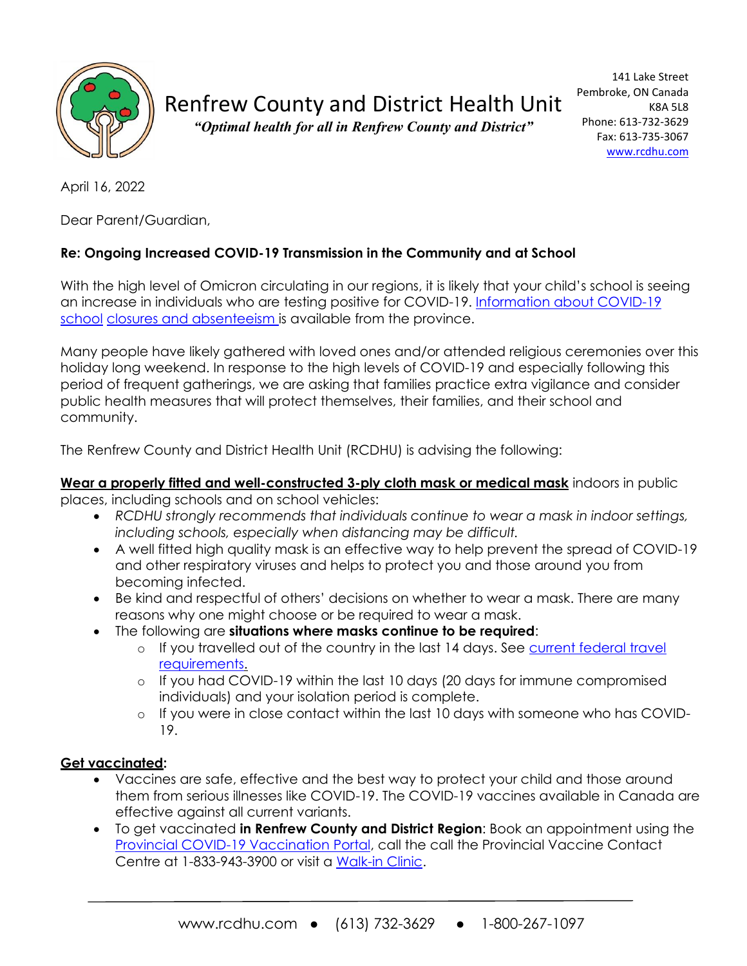

# Renfrew County and District Health Unit

*"Optimal health for all in Renfrew County and District"*

April 16, 2022

Dear Parent/Guardian,

## **Re: Ongoing Increased COVID-19 Transmission in the Community and at School**

With the high level of Omicron circulating in our regions, it is likely that your child's school is seeing an increase in individuals who are testing positive for COVID-19. [Information about COVID-19](https://www.ontario.ca/page/covid-19-school-closures-and-absenteeism)  [school](https://www.ontario.ca/page/covid-19-school-closures-and-absenteeism) [closures and absenteeism is](https://www.ontario.ca/page/covid-19-school-closures-and-absenteeism) available from the province.

Many people have likely gathered with loved ones and/or attended religious ceremonies over this holiday long weekend. In response to the high levels of COVID-19 and especially following this period of frequent gatherings, we are asking that families practice extra vigilance and consider public health measures that will protect themselves, their families, and their school and community.

The Renfrew County and District Health Unit (RCDHU) is advising the following:

#### **Wear a properly fitted and well-constructed 3-ply cloth mask or medical mask** indoors in public places, including schools and on school vehicles:

- *RCDHU strongly recommends that individuals continue to wear a mask in indoor settings, including schools, especially when distancing may be difficult.*
- A well fitted high quality mask is an effective way to help prevent the spread of COVID-19 and other respiratory viruses and helps to protect you and those around you from becoming infected.
- Be kind and respectful of others' decisions on whether to wear a mask. There are many reasons why one might choose or be required to wear a mask.
- The following are **situations where masks continue to be required**:
	- $\circ$  If you travelled out of the country in the last 14 days. See current federal travel [requirements.](https://travel.gc.ca/travel-covid/travel-restrictions/exemptions)
	- o If you had COVID-19 within the last 10 days (20 days for immune compromised individuals) and your isolation period is complete.
	- o If you were in close contact within the last 10 days with someone who has COVID-19.

## **Get vaccinated:**

- Vaccines are safe, effective and the best way to protect your child and those around them from serious illnesses like COVID-19. The COVID-19 vaccines available in Canada are effective against all current variants.
- To get vaccinated **in Renfrew County and District Region**: Book an appointment using the [Provincial COVID-19 Vaccination Portal,](https://covid19.ontariohealth.ca/) call the call the Provincial Vaccine Contact Centre at 1-833-943-3900 or visit a [Walk-in Clinic.](https://www.rcdhu.com/wp-content/uploads/2022/04/2022-Apr-17-Apr-30.pdf)